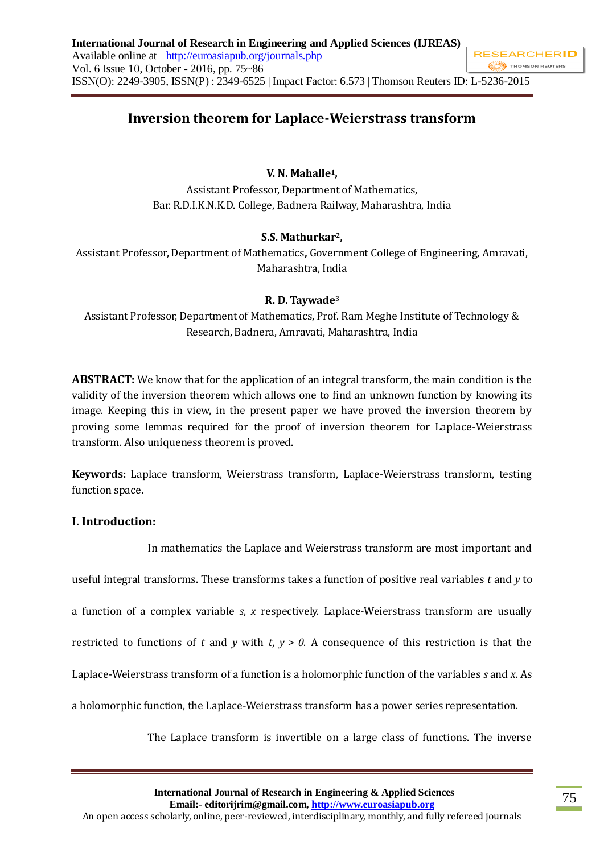# **Inversion theorem for Laplace-Weierstrass transform**

## **V. N. Mahalle1,**

Assistant Professor, Department of Mathematics, Bar. R.D.I.K.N.K.D. College, Badnera Railway, Maharashtra, India

## **S.S. Mathurkar2,**

Assistant Professor, Department of Mathematics**,** Government College of Engineering, Amravati, Maharashtra, India

#### **R. D. Taywade<sup>3</sup>**

Assistant Professor, Departmentof Mathematics, Prof. Ram Meghe Institute of Technology & Research, Badnera, Amravati, Maharashtra, India

**ABSTRACT:** We know that for the application of an integral transform, the main condition is the validity of the inversion theorem which allows one to find an unknown function by knowing its image. Keeping this in view, in the present paper we have proved the inversion theorem by proving some lemmas required for the proof of inversion theorem for Laplace-Weierstrass transform. Also uniqueness theorem is proved.

**Keywords:** Laplace transform, Weierstrass transform, Laplace-Weierstrass transform, testing function space.

#### **I. Introduction:**

 In mathematics the Laplace and Weierstrass transform are most important and useful integral transforms. These transforms takes a function of positive real variables *t* and *y* to a function of a complex variable *s*, *x* respectively. Laplace-Weierstrass transform are usually restricted to functions of *t* and *y* with *t*,  $y > 0$ . A consequence of this restriction is that the Laplace-Weierstrass transform of a function is a holomorphic function of the variables *s* and *x*. As a holomorphic function, the Laplace-Weierstrass transform has a power series representation.

The Laplace transform is invertible on a large class of functions. The inverse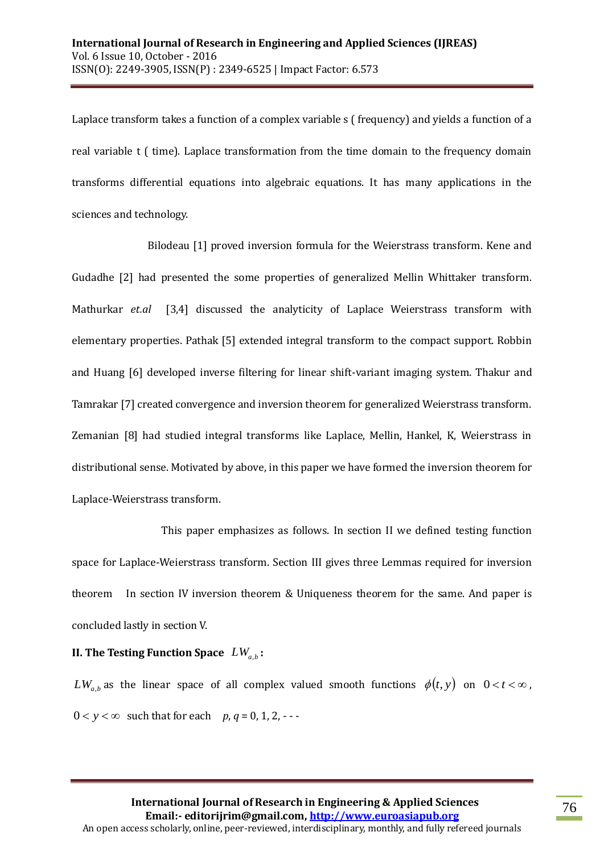Laplace transform takes a function of a complex variable s ( frequency) and yields a function of a real variable t ( time). Laplace transformation from the time domain to the frequency domain transforms differential equations into algebraic equations. It has many applications in the sciences and technology.

 Bilodeau [1] proved inversion formula for the Weierstrass transform. Kene and Gudadhe [2] had presented the some properties of generalized Mellin Whittaker transform. Mathurkar *et.al* [3,4] discussed the analyticity of Laplace Weierstrass transform with elementary properties. Pathak [5] extended integral transform to the compact support. Robbin and Huang [6] developed inverse filtering for linear shift-variant imaging system. Thakur and Tamrakar [7] created convergence and inversion theorem for generalized Weierstrass transform. Zemanian [8] had studied integral transforms like Laplace, Mellin, Hankel, K, Weierstrass in distributional sense. Motivated by above, in this paper we have formed the inversion theorem for Laplace-Weierstrass transform.

 This paper emphasizes as follows. In section II we defined testing function space for Laplace-Weierstrass transform. Section III gives three Lemmas required for inversion theorem In section IV inversion theorem & Uniqueness theorem for the same. And paper is concluded lastly in section V.

## **II. The Testing Function Space**  *LWa*,*<sup>b</sup>* **:**

 $LW_{a,b}$  as the linear space of all complex valued smooth functions  $\phi(t, y)$  on  $0 < t < \infty$ ,  $0 < y < \infty$  such that for each *p*,  $q = 0, 1, 2, \cdots$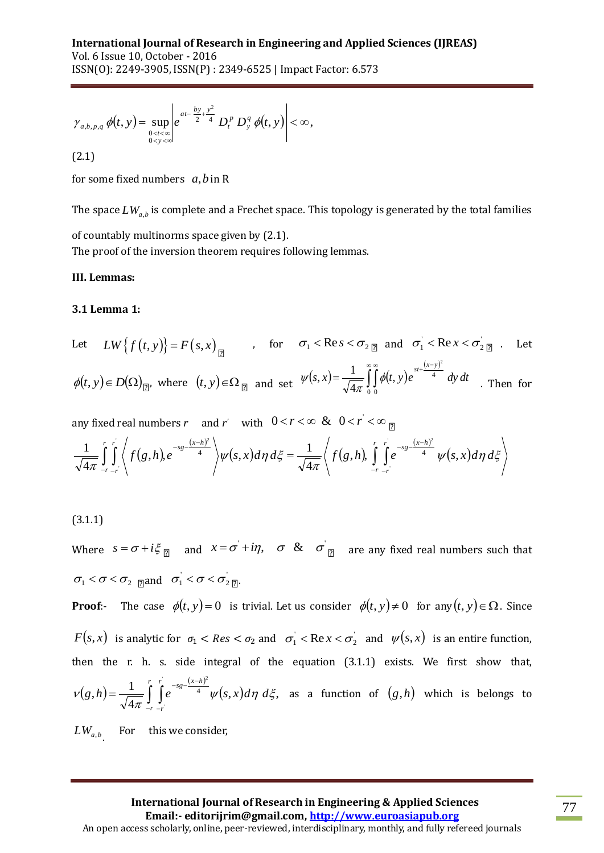$$
\gamma_{a,b,p,q} \phi(t, y) = \sup_{\substack{0 < t < \infty \\ 0 < y < \infty}} \left| e^{at - \frac{by + y^2}{2}t} D_t^p D_y^q \phi(t, y) \right| < \infty,
$$
\n(2.1)

for some fixed numbers *a*,*b* in R

The space  $LW_{a,b}$  is complete and a Frechet space. This topology is generated by the total families of countably multinorms space given by (2.1). The proof of the inversion theorem requires following lemmas.

#### **III. Lemmas:**

#### **3.1 Lemma 1:**

Let 
$$
LW\{f(t, y)\}=F(s, x)_{\boxed{2}}
$$
, for  $\sigma_1 < \text{Re } s < \sigma_2 \text{Re } s < \sigma_2$  and  $\sigma_1 < \text{Re } x < \sigma_2 \text{Re } s$ . Let  
\n
$$
\phi(t, y) \in D(\Omega)_{\boxed{2'}}, \text{ where } (t, y) \in \Omega_{\boxed{2}} \text{ and set } \psi(s, x) = \frac{1}{\sqrt{4\pi}} \int_{0}^{\infty} \int_{0}^{\infty} \phi(t, y) e^{\frac{st + (x - y)^2}{4}} dy dt \text{ Then for }
$$

any fixed real numbers 
$$
r
$$
 and  $r'$  with  $0 < r < \infty$  &  $0 < r' < \infty$    
\n
$$
\frac{1}{\sqrt{4\pi}} \int_{-r}^{r} \int_{-r}^{r} \left\langle f(g,h), e^{-sg - \frac{(x-h)^2}{4}} \right\rangle \psi(s,x) d\eta d\xi = \frac{1}{\sqrt{4\pi}} \left\langle f(g,h), \int_{-r}^{r} \int_{-r}^{r} e^{-sg - \frac{(x-h)^2}{4}} \psi(s,x) d\eta d\xi \right\rangle
$$

$$
(3.1.1)
$$

Where  $s = \sigma + i\xi_{\boxed{2}}$  and  $x = \sigma + i\eta$ ,  $\sigma \& \sigma$   $\boxed{\sigma}$  are any fixed real numbers such that  $\sigma_1 < \sigma < \sigma_2$  and  $\sigma_1 < \sigma < \sigma_2$  and

 $\langle t, y \rangle = \sup_{\phi \in \mathcal{F}_{\alpha}} e^{-\gamma} \cdot D_{\epsilon}^{\mu} D_{\gamma}^{\mu} \phi(t, y) \rangle \ll \infty,$ <br>
fixed numbers a, b in R<br>
fixed numbers a, b in R<br>
fixed numbers a, b in R<br>
bby multinerars such either space. This topology is generated by the total fami **Proof:-** The case  $\phi(t, y) = 0$  is trivial. Let us consider  $\phi(t, y) \neq 0$  for any  $(t, y) \in \Omega$ . Since  $F(s,x)$  is analytic for  $\sigma_1 < Res < \sigma_2$  and  $\sigma_1 < Res < \sigma_2$  and  $\psi(s,x)$  is an entire function, then the r. h. s. side integral of the equation (3.1.1) exists. We first show that,  $(g,h)$  $(x-h)$  $(s, x) d\eta \, d\xi,$ 4  $(h) = \frac{1}{\sqrt{2}}$ ' 2 <sup>4</sup>  $\psi(s,x)d\eta d\xi$ π  $\nu(g,h) = \frac{1}{\sqrt{g}} \int e^{-g(x+h)} \psi(s,x) d\eta \, d\eta$ *r r*  $\int_{-r}^{r} \int_{-r}^{r} e^{-sg-\frac{(x-h)}{4}}$ *r*  $=\frac{1}{\sqrt{2}}\int_{0}^{r} \int_{0}^{r} e^{-s g-(x-h)^2} \psi(s,x) d\eta \ d\xi$ , as a function of  $(g,h)$  which is belongs to

 $LW_{a,b}$  For this we consider,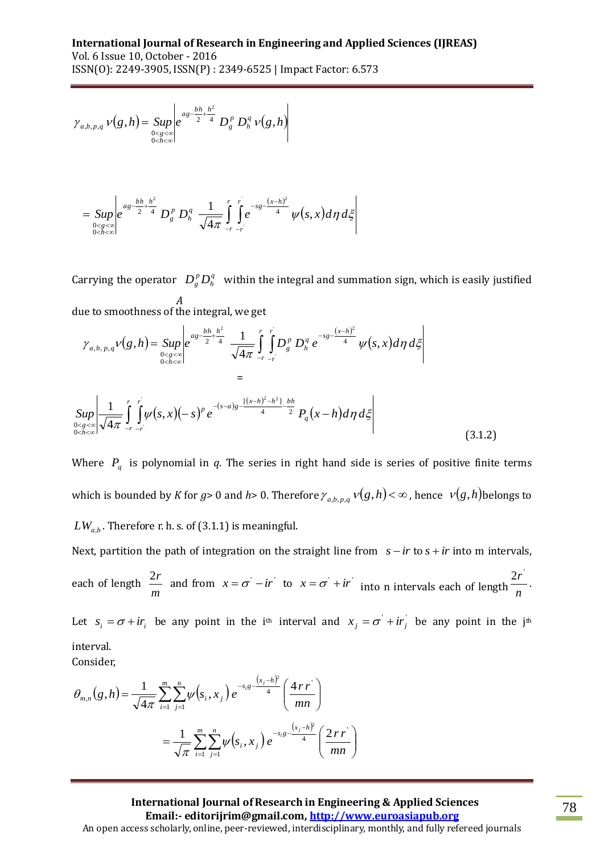$$
\gamma_{a,b,p,q} \nu(g,h) = \sup_{\substack{0 \le g < \infty \\ 0 < h < \infty}} \left| e^{ag - \frac{bh}{2} + \frac{h^2}{4}} D_g^p D_h^q \nu(g,h) \right|
$$

$$
= \underset{0 < g < \infty \atop 0 < h < \infty}{}{\sup} \left| e^{ag - \frac{bh}{2} + \frac{h^2}{4}} D_g^p D_h^q \frac{1}{\sqrt{4\pi}} \int_{-r}^r \int_{-r}^r e^{-sg - \frac{(x-h)^2}{4}} \psi(s, x) d\eta d\xi \right|
$$

Carrying the operator  $D_p^p D_h^q$ *A*  $D_g^p D_h^q$  within the integral and summation sign, which is easily justified

78 *g h Sup e D D g h* due to smoothness of the integral, we get *b h h a g r r r r x h s g q h p g h g <sup>a</sup> <sup>b</sup> <sup>p</sup> <sup>q</sup> g h Sup e D D e s x d d* , 4 1 , 2 2 2 4 4 0 0 , , , = *r r q <sup>x</sup> <sup>h</sup> <sup>h</sup> b h s a g p r r h g Sup s x s e P x h d d* 4 2 [ ] 0 0 2 2 , 4 1 (3.1.2)

Where  $P_q$  is polynomial in  $q$ . The series in right hand side is series of positive finite terms which is bounded by *K* for  $g$ > 0 and *h*> 0. Therefore  $\gamma_{a,b,p,q}$   $\nu(g,h)$  <  $\infty$  , hence  $\;\nu(g,h)$ belongs to  $LW_{a,b}$  . Therefore r. h. s. of (3.1.1) is meaningful.

Next, partition the path of integration on the straight line from  $s - ir$  to  $s + ir$  into m intervals, each of length *m*  $\frac{2r}{m}$  and from  $x = \sigma - ir$  to  $x = \sigma + ir$  into n intervals each of length  $\frac{2r}{n}$  $\frac{2r}{r}$ .

Let  $s_i = \sigma + ir_i$  be any point in the i<sup>th</sup> interval and  $x_j = \sigma' + ir_j$  be any point in the j<sup>th</sup> interval.

Consider,

$$
\theta_{m,n}(g,h) = \frac{1}{\sqrt{4\pi}} \sum_{i=1}^{m} \sum_{j=1}^{n} \psi(s_i, x_j) e^{-s_i g - \frac{(x_j - h)^2}{4}} \left(\frac{4rr}{mn}\right)
$$

$$
= \frac{1}{\sqrt{\pi}} \sum_{i=1}^{m} \sum_{j=1}^{n} \psi(s_i, x_j) e^{-s_i g - \frac{(x_j - h)^2}{4}} \left(\frac{2rr}{mn}\right)
$$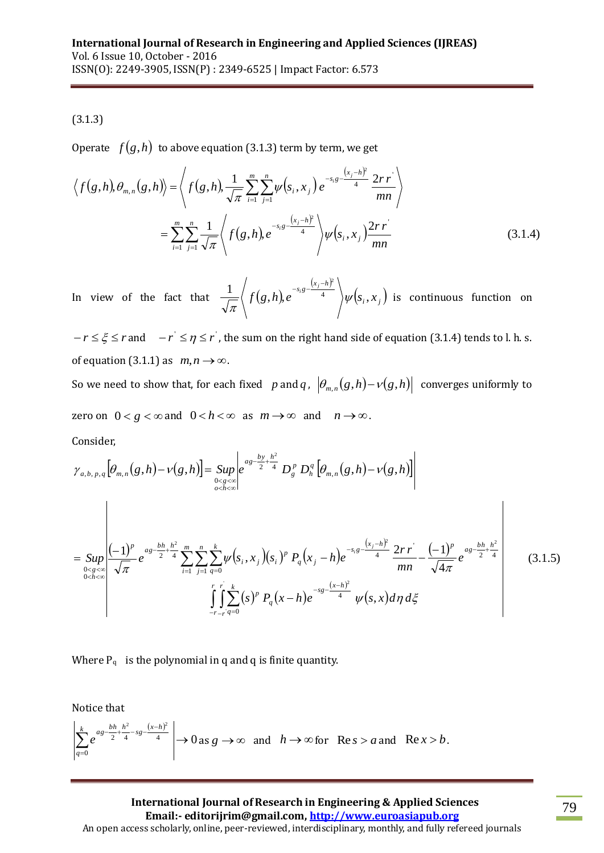## (3.1.3)

Operate  $\ f(g,h)$  to above equation (3.1.3) term by term, we get

$$
\langle f(g,h), \theta_{m,n}(g,h) \rangle = \langle f(g,h), \frac{1}{\sqrt{\pi}} \sum_{i=1}^{m} \sum_{j=1}^{n} \psi(s_i, x_j) e^{-s_i g - \frac{(x_j - h)^2}{4}} \frac{2rr}{mn} \rangle
$$
  
= 
$$
\sum_{i=1}^{m} \sum_{j=1}^{n} \frac{1}{\sqrt{\pi}} \langle f(g,h), e^{-s_i g - \frac{(x_j - h)^2}{4}} \rangle \psi(s_i, x_j) \frac{2rr}{mn}
$$
(3.1.4)

In view of the fact that  $\frac{1}{\sqrt{2}}$   $\int f(g,h)$ ,  $(x_i-h)^t$  $(s_i, x_j)$  $\frac{1}{\sqrt{\pi}}\left\langle f(g,h)e^{-s_i g-\frac{(x_j-h)^2}{4}}\right\rangle \psi(s_i,x)$  $\psi$ π  $\left\langle \frac{x_i - h^2}{4} \right\rangle \psi(s_i, x_i)$  is continuous function on

 $-r \leq \xi \leq r$  and  $-r' \leq \eta \leq r$ , the sum on the right hand side of equation (3.1.4) tends to l. h. s. of equation (3.1.1) as  $m, n \rightarrow \infty$ .

So we need to show that, for each fixed p and q,  $\left|\theta_{m,n}(g,h)-\nu(g,h)\right|$  converges uniformly to zero on  $0 < g < \infty$  and  $0 < h < \infty$  as  $m \to \infty$  and  $n \to \infty$ .

Consider,

Consider,  
\n
$$
\gamma_{a,b,p,q}[\theta_{m,n}(g,h)-\nu(g,h)] = \sup_{\substack{0< g<\infty \\ 0< h<\infty}} e^{as-\frac{by}{2}+\frac{h^2}{4}} D_g^p D_h^q [\theta_{m,n}(g,h)-\nu(g,h)]
$$
\n
$$
= \sup_{\substack{0< g<\infty \\ 0< h<\infty}} \left| \frac{(-1)^p}{\sqrt{\pi}} e^{as-\frac{bh}{2}+\frac{h^2}{4}} \sum_{i=1}^m \sum_{j=1}^n \sum_{q=0}^k \psi(s_i,x_j)(s_i)^p P_q(x_j-h) e^{-s_i s - \frac{(x_j-h)^2}{4}} \frac{2rr}{mn} - \frac{(-1)^p}{\sqrt{4\pi}} e^{as-\frac{bh}{2}+\frac{h^2}{4}} \right|
$$
\n(3.1.5)

Where  $P_q$  is the polynomial in q and q is finite quantity.

Notice that

$$
\left|\sum_{q=0}^k e^{as-\frac{bh}{2}+\frac{h^2}{4}-sg-\frac{(x-h)^2}{4}}\right|\to 0 \text{ as } g\to\infty \text{ and } h\to\infty \text{ for } \text{Re } s>a \text{ and } \text{Re } x>b.
$$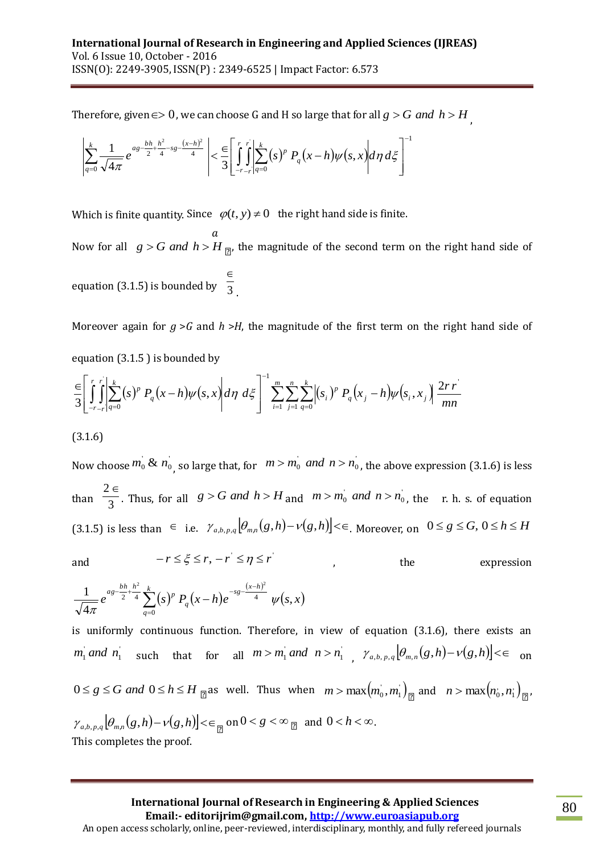Therefore, given  $\epsilon$   $>$   $0$  , we can choose G and H so large that for all  $g$   $>$   $G$  *and*  $h$  $>$  $H$   $_{_{\prime}}$ 

$$
\left|\sum_{q=0}^{k} \frac{1}{\sqrt{4\pi}} e^{ag - \frac{bh}{2} + \frac{h^2}{4} - sg - \frac{(x-h)^2}{4}} \right| < \frac{\epsilon}{3} \left[ \int_{-r-r}^{r} \left| \sum_{q=0}^{k} (s)^p P_q(x-h) \psi(s,x) \right| d\eta d\xi \right]
$$

Which is finite quantity. Since  $\varphi(t, y) \neq 0$  the right hand side is finite.

 $\alpha$ Now for all  $g > G$  *and*  $h > H_{\overline{Q}}$ , the magnitude of the second term on the right hand side of equation (3.1.5) is bounded by  $\overline{3}$  $\in$ .

1

Moreover again for  $g > G$  and  $h > H$ , the magnitude of the first term on the right hand side of equation (3.1.5 ) is bounded by

$$
\frac{\epsilon}{3} \left[ \int_{-r-r}^{r} \left| \sum_{q=0}^{k} (s)^p P_q(x-h) \psi(s,x) \right| d\eta \, d\xi \right]^{-1} \sum_{i=1}^{m} \sum_{j=1}^{n} \sum_{q=0}^{k} \left| (s_i)^p P_q(x_j-h) \psi(s_i,x_j) \right| \frac{2rr}{mn}
$$

(3.1.6)

Now choose  $m_0 \& n_0$  so large that, for  $m > m_0$  *and*  $n > n_0$ , the above expression (3.1.6) is less than  $\overline{3}$  $2 \in$ . Thus, for all  $g > G$  *and*  $h > H$  and  $m > m_0$  *and*  $n > n_0$ , the r. h. s. of equation  $(3.1.5)$  is less than  $\in$  i.e.  $\gamma_{a,b,p,q}$   $[\theta_{m,n}(g,h)-\nu(g,h)] < \infty$ . Moreover, on  $0 \le g \le G$ ,  $0 \le h \le H$ 

and

 $-r \leq \xi \leq r, -r^{'} \leq \eta \leq r^{'}$ 

the expression

$$
\frac{1}{\sqrt{4\pi}}e^{as-\frac{bh}{2}+\frac{h^2}{4}}\sum_{q=0}^k(s)^p P_q(x-h)e^{-sg-\frac{(x-h)^2}{4}}\psi(s,x)
$$

is uniformly continuous function. Therefore, in view of equation (3.1.6), there exists an  $m_1$  *and*  $n_1$  such that for all  $m > m_1$  *and*  $n > n_1$ ,  $\gamma_{a,b,p,q}$   $\left[\theta_{m,n}(g,h) - \nu(g,h)\right] \le \epsilon$  on

 $0 \le g \le G$  *and*  $0 \le h \le H$   $\underset{\Box}{\Box}$  as well. Thus when  $m > \max(m_0, m_1)$   $\underset{\Box}{\Box}$  and  $n > \max(n_0, n_1)$  $\overline{1}$  $n > \max\left(n_0, n_1\right)_{\boxed{2}}$  $\mathcal{V}_{a,b,p,q}$   $\left[\theta_{m,n}(g,h) - \nu(g,h)\right] < \infty$  on  $0 < g < \infty$  <sub>[2]</sub> and  $0 < h < \infty$ . This completes the proof.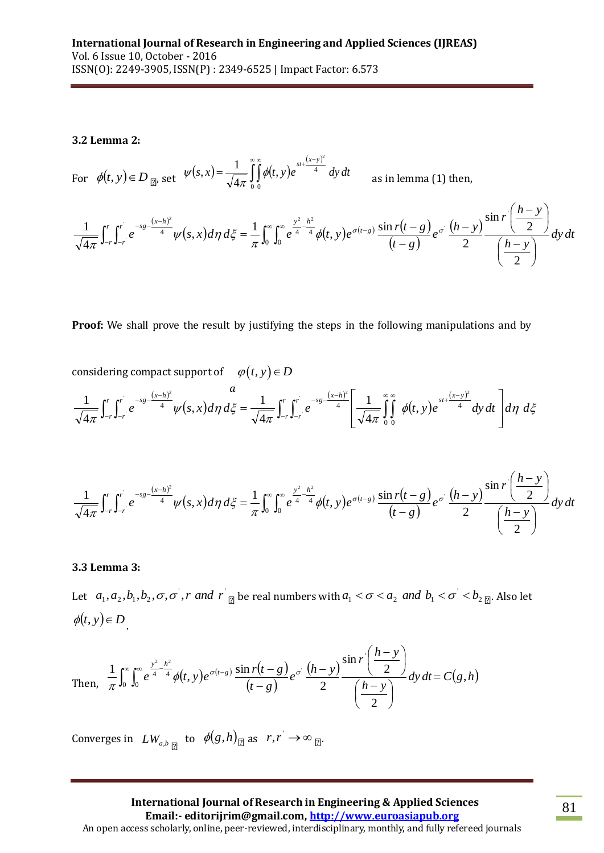#### **3.2 Lemma 2:**

For  $\phi(t, y) \in D_{\square}$ , set  $\psi(s, x) = \frac{1}{\sqrt{4\pi}} \iint_{0}^{\infty} \phi(t, y) dy$  $(x-y)$  $s, x$  =  $\frac{1}{\sqrt{2}}$  |  $\phi(t, y)e$  <sup>4</sup> *dy dt*  $\frac{(x-y)}{4}$ 0 0 2 , 4  $(x) = \frac{1}{\sqrt{1-x^2}}$  $\overbrace{\hspace{15pt}}^{\infty}$   $\overbrace{\hspace{15pt}}^{\infty}$   $\overbrace{\hspace{15pt}}^{\infty}$   $\overbrace{\hspace{15pt}}^{\infty}$  $=\frac{1}{\sqrt{4\pi}}\int \oint$ π  $\psi$ as in lemma (1) then,

$$
\frac{1}{\sqrt{4\pi}}\int_{-r}^{r}\int_{-r}^{r}e^{-s\theta-\frac{(x-h)^2}{4}}\psi(s,x)d\eta\,d\xi = \frac{1}{\pi}\int_{0}^{\infty}\int_{0}^{\infty}e^{\frac{y^2-h^2}{4}}\phi(t,y)e^{\sigma(t-s)}\frac{\sin r(t-s)}{(t-s)}e^{\sigma}\frac{(h-y)}{2}\frac{\sin r\left(\frac{h-y}{2}\right)}{\left(\frac{h-y}{2}\right)}dy\,dt
$$

**Proof:** We shall prove the result by justifying the steps in the following manipulations and by

considering compact support of 
$$
\varphi(t, y) \in D
$$
  

$$
\frac{1}{\sqrt{4\pi}} \int_{-r}^{r} \int_{-r}^{r} e^{-sg - \frac{(x-h)^2}{4}} \psi(s, x) d\eta d\xi = \frac{1}{\sqrt{4\pi}} \int_{-r}^{r} \int_{-r}^{r} e^{-sg - \frac{(x-h)^2}{4}} \left[ \frac{1}{\sqrt{4\pi}} \int_{0}^{\infty} \phi(t, y) e^{-st + \frac{(x-y)^2}{4}} dy dt \right] d\eta d\xi
$$

$$
\frac{1}{\sqrt{4\pi}}\int_{-r}^{r}\int_{-r}^{r}e^{-s\theta}\frac{(x-h)^2}{4}\psi(s,x)d\eta\,d\xi = \frac{1}{\pi}\int_{0}^{\infty}\int_{0}^{\infty}e^{\frac{y^2-h^2}{4}}\phi(t,y)e^{\sigma(t-s)}\frac{\sin r(t-s)}{(t-s)}e^{\sigma}\frac{(h-y)}{2}\frac{\sin r\left(\frac{h-y}{2}\right)}{\left(\frac{h-y}{2}\right)}dy\,dt
$$

#### **3.3 Lemma 3:**

Let  $a_1, a_2, b_1, b_2, \sigma, \sigma$ , r and  $r \mid_{\mathbb{Z}}$  be real numbers with  $a_1 < \sigma < a_2$  and  $b_1 < \sigma < b_2$   $_{\mathbb{Z}}$ . Also let  $\phi(t, y) \in D$ 

Then, 
$$
\frac{1}{\pi} \int_0^{\infty} \int_0^{\infty} e^{\frac{y^2 - h^2}{4}} \phi(t, y) e^{\sigma(t - g)} \frac{\sin r(t - g)}{(t - g)} e^{\sigma} \frac{(h - y)}{2} \frac{\sin r \left(\frac{h - y}{2}\right)}{\left(\frac{h - y}{2}\right)} dy dt = C(g, h)
$$

Converges in  $LW_{a,b}$  to  $\phi(g,h)$  as  $r,r \rightarrow \infty$  p.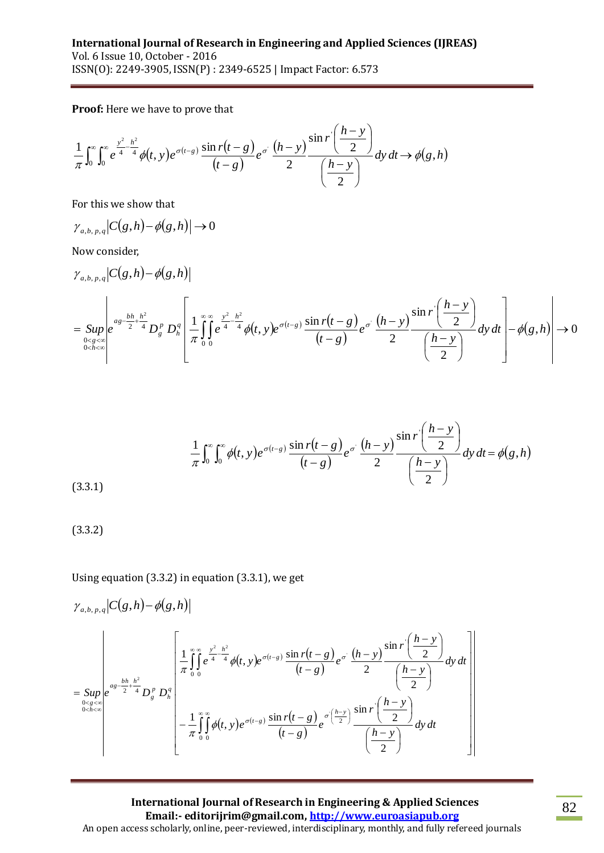**Proof:** Here we have to prove that

$$
\frac{1}{\pi} \int_0^{\infty} \int_0^{\infty} e^{\frac{y^2 - h^2}{4}} \phi(t, y) e^{\sigma(t - s)} \frac{\sin r(t - g)}{(t - g)} e^{\sigma} \frac{(h - y)}{2} \frac{\sin r \left(\frac{h - y}{2}\right)}{\left(\frac{h - y}{2}\right)} dy dt \rightarrow \phi(g, h)
$$

For this we show that

$$
\gamma_{a,b,p,q}|C(g,h)-\phi(g,h)|\to 0
$$

Now consider,

$$
\gamma_{a,b,p,q}\Big|C(g,h)-\phi(g,h)\Big|
$$
\n
$$
= \sup_{\substack{0<\text{g}<\infty \\ 0<\text{h}<\infty}}\Bigg|e^{as-\frac{bh}{2}+\frac{h^2}{4}}D_g^p D_h^q\Bigg[\frac{1}{\pi}\int_0^\infty e^{\frac{y^2-h^2}{4}}\phi(t,y)e^{\sigma(t-g)}\frac{\sin r(t-g)}{(t-g)}e^{\sigma}\frac{(h-y)}{2}\frac{\sin r\Big(\frac{h-y}{2}\Big)}{\Big(\frac{h-y}{2}\Big)}dy\,dt\Bigg]-\phi(g,h)\Bigg|\to 0
$$

$$
\frac{1}{\pi} \int_0^\infty \int_0^\infty \phi(t, y) e^{\sigma(t - s)} \frac{\sin r(t - s)}{(t - s)} e^{\sigma} \frac{(h - y)}{2} \frac{\sin r \left(\frac{h - y}{2}\right)}{\left(\frac{h - y}{2}\right)} dy dt = \phi(g, h)
$$
\n(3.3.1)

$$
(3.3.2)
$$

Using equation (3.3.2) in equation (3.3.1), we get

$$
\gamma_{a,b,p,q}\Big|C(g,h)-\phi(g,h)\Big|
$$
\n
$$
= \sup_{\substack{0< g<\infty \\ 0< h<\infty}}\Bigg|e^{a_g - \frac{bh}{2} + \frac{h^2}{4}}D_g^p D_h^q\Bigg| \frac{\frac{1}{\pi}\int_0^\infty e^{\frac{y^2}{4} - \frac{h^2}{4}}\phi(t,y)e^{\sigma(t-s)}\frac{\sin r(t-s)}{(t-s)}e^{\sigma}\frac{(h-y)}{2}\frac{\sin r\left(\frac{h-y}{2}\right)}{\left(\frac{h-y}{2}\right)}dy\,dt}{\left(-\frac{1}{\pi}\int_0^\infty \phi(t,y)e^{\sigma(t-s)}\frac{\sin r(t-s)}{(t-s)}e^{\sigma\left(\frac{h-y}{2}\right)}\frac{\sin r\left(\frac{h-y}{2}\right)}{\left(\frac{h-y}{2}\right)}dy\,dt}\Bigg|
$$

**International Journal of Research in Engineering & Applied Sciences Email:- editorijrim@gmail.com, http://www.euroasiapub.org** An open access scholarly, online, peer-reviewed, interdisciplinary, monthly, and fully refereed journals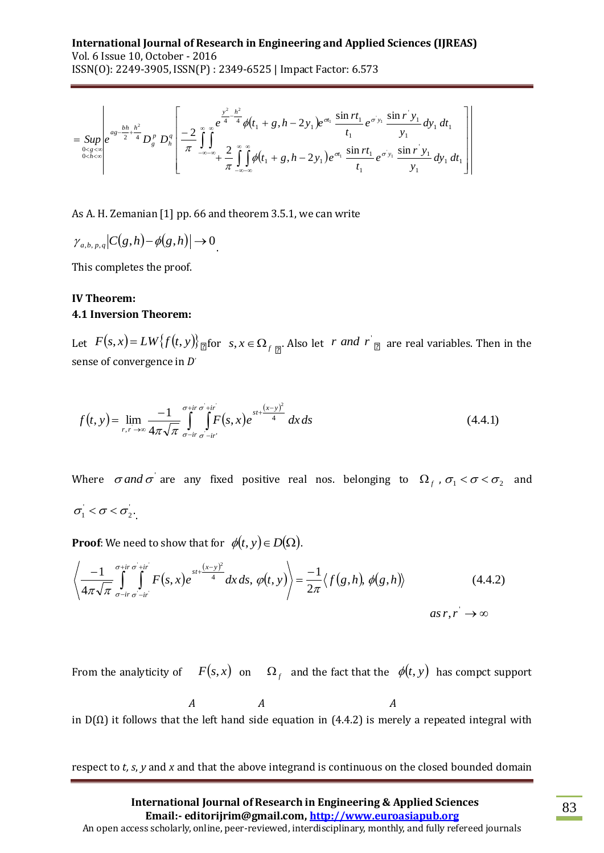$$
= \text{Sup}_{\substack{0 < g < \infty \\ 0 < h < \infty}} \left| e^{as - \frac{bh}{2} + \frac{h^2}{4}} D_g^p D_h^q \left[ \frac{2}{\pi} \int_{-\infty - \infty}^{\infty} e^{-\frac{y^2}{4} - \frac{h^2}{4}} \phi(t_1 + g, h - 2y_1) e^{-\pi_1} \frac{\sin rt_1}{t_1} e^{-\sigma y_1} \frac{\sin r y_1}{y_1} dy_1 dt_1 \right] \right|
$$

As A. H. Zemanian [1] pp. 66 and theorem 3.5.1, we can write

$$
\gamma_{a,b,p,q}|C(g,h)-\phi(g,h)|\to 0
$$

This completes the proof.

### **IV Theorem: 4.1 Inversion Theorem:**

Let  $F(s, x) = LW{f(t, y)}_{\text{max}}$  for  $s, x \in \Omega_{f(\frac{m}{2})}$ . Also let  $r$  *and*  $r|_{\text{max}}$  are real variables. Then in the sense of convergence in *D'*

$$
f(t, y) = \lim_{r, r \to \infty} \frac{-1}{4\pi\sqrt{\pi}} \int_{\sigma - ir}^{\sigma + ir} \int_{\sigma - ir}^{+ir} F(s, x) e^{-st + \frac{(x - y)^2}{4}} dx ds
$$
(4.4.1)

Where  $\sigma$  *and*  $\sigma$  are any fixed positive real nos. belonging to  $\Omega_f$  ,  $\sigma_1 < \sigma < \sigma_2$  and  $\sigma_1 < \sigma < \sigma_2$ .

**Proof**: We need to show that for  $\phi(t, y) \in D(\Omega)$ .

$$
= \text{Sup}_{e} \left| \int_{\alpha}^{a} \frac{\partial^{k} \partial_{k} A_{k}}{\partial x^{2}} D_{k}^{k} D_{k}^{k} \right| = \frac{2}{\pi} \int_{-\pi}^{\pi} \int_{-\pi}^{\alpha} \int_{-\pi}^{\alpha} \int_{-\pi}^{\alpha} \int_{-\pi}^{\alpha} \int_{-\pi}^{\alpha} \int_{-\pi}^{\alpha} \int_{-\pi}^{\alpha} \int_{-\pi}^{\alpha} \int_{-\pi}^{\alpha} \int_{-\pi}^{\alpha} \int_{-\pi}^{\alpha} \int_{-\pi}^{\alpha} \int_{-\pi}^{\alpha} \int_{-\pi}^{\alpha} \int_{-\pi}^{\alpha} \int_{-\pi}^{\alpha} \int_{-\pi}^{\alpha} \int_{-\pi}^{\alpha} \int_{-\pi}^{\alpha} \int_{-\pi}^{\alpha} \int_{-\pi}^{\alpha} \int_{-\pi}^{\alpha} \int_{-\pi}^{\alpha} \int_{-\pi}^{\alpha} \int_{-\pi}^{\alpha} \int_{-\pi}^{\alpha} \int_{-\pi}^{\alpha} \int_{-\pi}^{\alpha} \int_{-\pi}^{\alpha} \int_{-\pi}^{\alpha} \int_{-\pi}^{\alpha} \int_{-\pi}^{\alpha} \int_{-\pi}^{\alpha} \int_{-\pi}^{\alpha} \int_{-\pi}^{\alpha} \int_{-\pi}^{\alpha} \int_{-\pi}^{\alpha} \int_{-\pi}^{\alpha} \int_{-\pi}^{\alpha} \int_{-\pi}^{\alpha} \int_{-\pi}^{\alpha} \int_{-\pi}^{\alpha} \int_{-\pi}^{\alpha} \int_{-\pi}^{\alpha} \int_{-\pi}^{\alpha} \int_{-\pi}^{\alpha} \int_{-\pi}^{\alpha} \int_{-\pi}^{\alpha} \int_{-\pi}^{\alpha} \int_{-\pi}^{\alpha} \int_{-\pi}^{\alpha} \int_{-\pi}^{\alpha} \int_{-\pi}^{\alpha} \int_{-\pi}^{\alpha} \int_{-\pi}^{\alpha} \int_{-\pi}^{\alpha} \int_{-\pi}^{\alpha} \int_{-\pi}^{\alpha} \int_{-\pi}^{\alpha} \int_{-\pi}^{\alpha} \int_{-\pi}^{\alpha} \int_{-\pi}^{\alpha} \int_{-\pi}^{\alpha} \int_{-\pi}^{\alpha} \int_{-\pi}^{\alpha} \int_{-\pi}^{\alpha} \int_{-\pi}^{\alpha} \int_{-\pi}^{\alpha} \
$$

From the analyticity of  $F(s, x)$  on  $\Omega_f$  and the fact that the  $\phi(t, y)$  has compct support

 $\overline{A}$  $\overline{A}$  $\overline{A}$ in  $D(\Omega)$  it follows that the left hand side equation in (4.4.2) is merely a repeated integral with

respect to *t, s*, *y* and *x* and that the above integrand is continuous on the closed bounded domain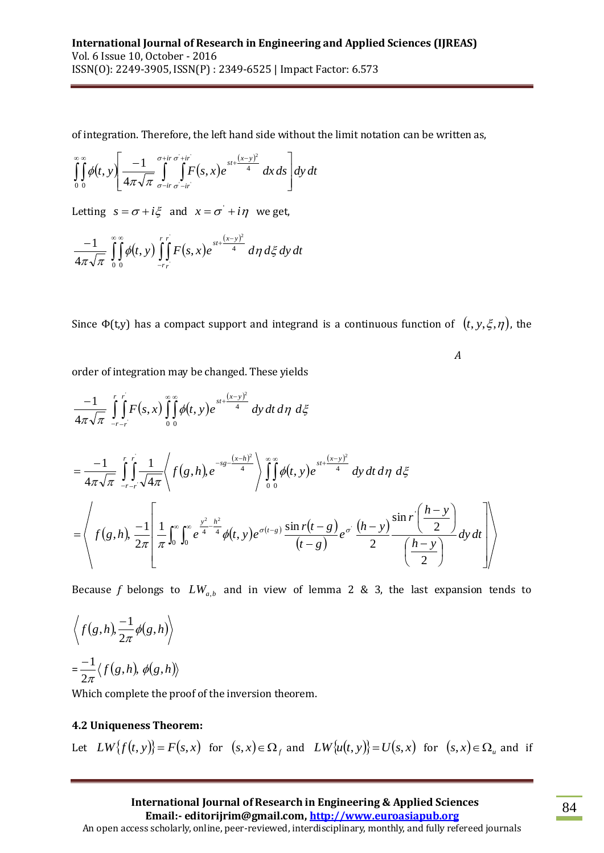of integration. Therefore, the left hand side without the limit notation can be written as,

$$
\int_{0}^{\infty} \int_{0}^{\infty} \phi(t, y) \left[ \frac{-1}{4\pi\sqrt{\pi}} \int_{\sigma - ir}^{\sigma + ir} \int_{\sigma - ir}^{+ ir} F(s, x) e^{-st + \frac{(x - y)^2}{4}} dx ds \right] dy dt
$$

Letting  $s = \sigma + i\xi$  and  $x = \sigma' + i\eta$  we get,

$$
\frac{-1}{4\pi\sqrt{\pi}}\int_{0}^{\infty}\int_{0}^{\infty}\phi(t, y)\int_{-r_{r}}^{r_{r}}F(s, x)e^{st+\frac{(x-y)^{2}}{4}} d\eta d\xi dy dt
$$

Since  $\Phi$ (t,y) has a compact support and integrand is a continuous function of  $(t, y, \xi, \eta)$ , the

 $\boldsymbol{A}$ 

order of integration may be changed. These yields

$$
\frac{-1}{4\pi\sqrt{\pi}}\int_{-r-r}^{r} F(s,x)\int_{0}^{\infty}\int_{0}^{st+\frac{(x-y)^{2}}{4}}dy dt d\eta d\xi
$$
\n
$$
=\frac{-1}{4\pi\sqrt{\pi}}\int_{-r-r}^{r} \int_{0}^{r} \frac{1}{\sqrt{4\pi}}\left\langle f(g,h,e^{-s\xi-\frac{(x-h)^{2}}{4}}\right\rangle \int_{0}^{\infty}\int_{0}^{\infty}\phi(t,y)e^{-st+\frac{(x-y)^{2}}{4}}dy dt d\eta d\xi
$$
\n
$$
=\left\langle f(g,h),\frac{-1}{2\pi}\left[\frac{1}{\pi}\int_{0}^{\infty}\int_{0}^{\infty}e^{\frac{y^{2}-h^{2}}{4}}\phi(t,y)e^{\sigma(t-s)}\frac{\sin r(t-g)}{(t-g)}e^{\sigma}\frac{(h-y)}{2}\frac{\sin r(\frac{h-y}{2})}{(\frac{h-y}{2})}dy dt\right]\right\rangle
$$

Because f belongs to  $LW_{a,b}$  and in view of lemma 2 & 3, the last expansion tends to

$$
\left\langle f(g,h), \frac{-1}{2\pi} \phi(g,h) \right\rangle
$$

$$
= \frac{-1}{2\pi} \langle f(g,h), \phi(g,h) \rangle
$$

Which complete the proof of the inversion theorem.

## **4.2 Uniqueness Theorem:**

Let  $LW\{f(t, y)\}=F(s, x)$  for  $(s, x) \in \Omega_f$  and  $LW\{u(t, y)\}=U(s, x)$  for  $(s, x) \in \Omega_u$  and if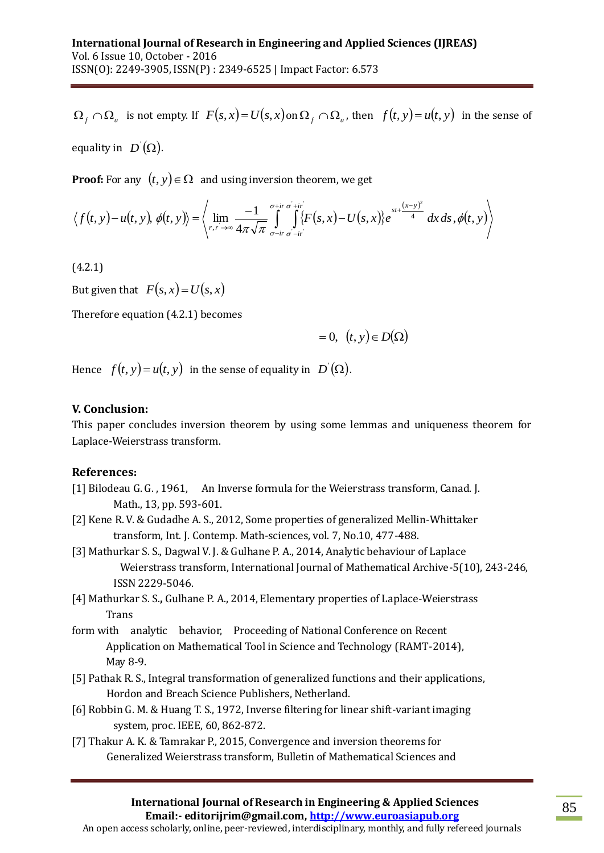is not empty. If  $F(s, x) = U(s, x)$  on  $\Omega_f \cap \Omega_u$ , then  $f(t, y) = u(t, y)$  in the sense of equality in  $[D](\Omega)$ .

**Proof:** For any  $(t, y) \in \Omega$  and using inversion theorem, we get

**Proof:** For any 
$$
(t, y) \in S^2
$$
 and using inversion theorem, we get  
\n
$$
\langle f(t, y) - u(t, y), \phi(t, y) \rangle = \left\langle \lim_{r, r \to \infty} \frac{-1}{4\pi \sqrt{\pi}} \int_{\sigma - ir}^{\sigma + ir} \int_{\sigma - ir}^{+ ir} \{F(s, x) - U(s, x)\} e^{-st + \frac{(x - y)^2}{4}} dx ds, \phi(t, y) \right\rangle
$$

(4.2.1)

But given that  $F(s, x) = U(s, x)$ 

Therefore equation (4.2.1) becomes

 $= 0, (t, y) \in D(\Omega)$ 

Hence  $f(t, y) = u(t, y)$  in the sense of equality in  $D'(\Omega)$ .

#### **V. Conclusion:**

This paper concludes inversion theorem by using some lemmas and uniqueness theorem for Laplace-Weierstrass transform.

#### **References:**

- [1] Bilodeau G. G. , 1961, An Inverse formula for the Weierstrass transform, Canad. J. Math., 13, pp. 593-601.
- [2] Kene R. V. & Gudadhe A. S., 2012, Some properties of generalized Mellin-Whittaker transform, Int. J. Contemp. Math-sciences, vol. 7, No.10, 477-488.
- $\Omega_j \cap \Omega_a$ , is not empty, if  $F(s, z) = U(s, z)$  on  $\Omega_j \cap \Omega_a$ , then  $f(t, s) = a(t, s)$  in the sense of<br>equality in  $D(\Omega)$ .<br> **Proof:** For any  $(t, y) \in \Omega$ , and using inversion theorem, we get<br>  $\langle f(t, y) u(t, y), \phi(t, y) \rangle$ <br>  $\langle \psi_{xx}, \phi_{xx} \$ [3] Mathurkar S. S., Dagwal V. J. & Gulhane P. A., 2014, Analytic behaviour of Laplace Weierstrass transform, International Journal of Mathematical Archive-5(10), 243-246, ISSN 2229-5046.
- [4] Mathurkar S. S.**,** Gulhane P. A., 2014, Elementary properties of Laplace-Weierstrass Trans
- form with analytic behavior, Proceeding of National Conference on Recent Application on Mathematical Tool in Science and Technology (RAMT-2014), May 8-9.
- [5] Pathak R. S., Integral transformation of generalized functions and their applications, Hordon and Breach Science Publishers, Netherland.
- [6] Robbin G. M. & Huang T. S., 1972, Inverse filtering for linear shift-variant imaging system, proc. IEEE, 60, 862-872.
- [7] Thakur A. K. & Tamrakar P., 2015, Convergence and inversion theorems for Generalized Weierstrass transform, Bulletin of Mathematical Sciences and